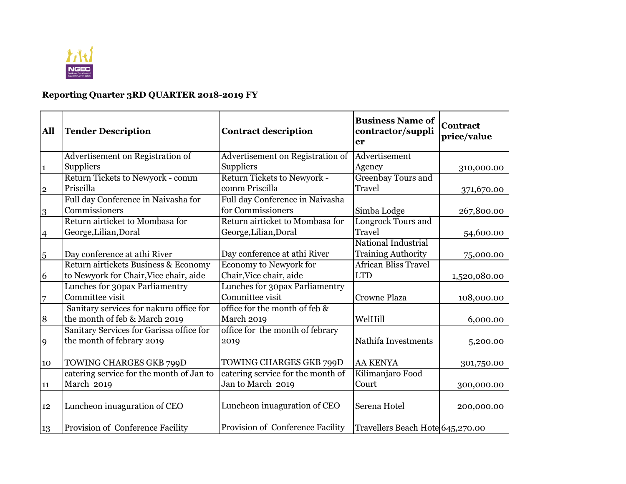

## **Reporting Quarter 3RD QUARTER 2018-2019 FY**

| All            | <b>Tender Description</b>                                                      | <b>Contract description</b>                              | <b>Business Name of</b><br>contractor/suppli<br>er | <b>Contract</b><br>price/value |
|----------------|--------------------------------------------------------------------------------|----------------------------------------------------------|----------------------------------------------------|--------------------------------|
|                | Advertisement on Registration of                                               | Advertisement on Registration of                         | Advertisement                                      |                                |
| $\mathbf{1}$   | Suppliers                                                                      | Suppliers                                                | Agency                                             | 310,000.00                     |
| $\overline{2}$ | Return Tickets to Newyork - comm<br>Priscilla                                  | Return Tickets to Newyork -<br>comm Priscilla            | <b>Greenbay Tours and</b><br><b>Travel</b>         | 371,670.00                     |
| 3              | Full day Conference in Naivasha for<br>Commissioners                           | Full day Conference in Naivasha<br>for Commissioners     | Simba Lodge                                        | 267,800.00                     |
| $\overline{4}$ | Return airticket to Mombasa for<br>George, Lilian, Doral                       | Return airticket to Mombasa for<br>George, Lilian, Doral | <b>Longrock Tours and</b><br><b>Travel</b>         | 54,600.00                      |
| 5              | Day conference at athi River                                                   | Day conference at athi River                             | National Industrial<br><b>Training Authority</b>   | 75,000.00                      |
| 6              | Return airtickets Business & Economy<br>to Newyork for Chair, Vice chair, aide | <b>Economy to Newyork for</b><br>Chair, Vice chair, aide | <b>African Bliss Travel</b><br><b>LTD</b>          | 1,520,080.00                   |
| $\overline{7}$ | Lunches for 30pax Parliamentry<br>Committee visit                              | Lunches for 30pax Parliamentry<br>Committee visit        | <b>Crowne Plaza</b>                                | 108,000.00                     |
| 8              | Sanitary services for nakuru office for<br>the month of feb & March 2019       | office for the month of feb &<br>March 2019              | WelHill                                            | 6,000.00                       |
| 9              | Sanitary Services for Garissa office for<br>the month of febrary 2019          | office for the month of febrary<br>2019                  | Nathifa Investments                                | 5,200.00                       |
| 10             | TOWING CHARGES GKB 799D                                                        | TOWING CHARGES GKB 799D                                  | <b>AA KENYA</b>                                    | 301,750.00                     |
| 11             | catering service for the month of Jan to<br>March 2019                         | catering service for the month of<br>Jan to March 2019   | Kilimanjaro Food<br>Court                          | 300,000.00                     |
| 12             | Luncheon inuaguration of CEO                                                   | Luncheon inuaguration of CEO                             | Serena Hotel                                       | 200,000.00                     |
| 13             | <b>Provision of Conference Facility</b>                                        | Provision of Conference Facility                         | Travellers Beach Hote 645,270.00                   |                                |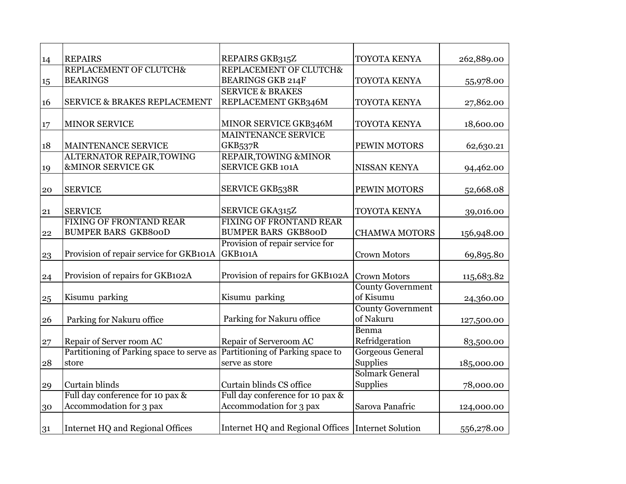| 14 | <b>REPAIRS</b>                            | REPAIRS GKB315Z                                    | TOYOTA KENYA             | 262,889.00 |
|----|-------------------------------------------|----------------------------------------------------|--------------------------|------------|
|    | REPLACEMENT OF CLUTCH&                    | REPLACEMENT OF CLUTCH&                             |                          |            |
| 15 | <b>BEARINGS</b>                           | <b>BEARINGS GKB 214F</b>                           | TOYOTA KENYA             | 55,978.00  |
|    |                                           | <b>SERVICE &amp; BRAKES</b>                        |                          |            |
| 16 | <b>SERVICE &amp; BRAKES REPLACEMENT</b>   | REPLACEMENT GKB346M                                | TOYOTA KENYA             | 27,862.00  |
|    |                                           |                                                    |                          |            |
| 17 | <b>MINOR SERVICE</b>                      | MINOR SERVICE GKB346M                              | TOYOTA KENYA             | 18,600.00  |
|    |                                           | <b>MAINTENANCE SERVICE</b>                         |                          |            |
| 18 | MAINTENANCE SERVICE                       | <b>GKB537R</b>                                     | PEWIN MOTORS             | 62,630.21  |
|    | <b>ALTERNATOR REPAIR, TOWING</b>          | REPAIR, TOWING & MINOR                             |                          |            |
| 19 | <b>&amp;MINOR SERVICE GK</b>              | <b>SERVICE GKB 101A</b>                            | NISSAN KENYA             | 94,462.00  |
|    |                                           |                                                    |                          |            |
| 20 | <b>SERVICE</b>                            | <b>SERVICE GKB538R</b>                             | PEWIN MOTORS             | 52,668.08  |
| 21 | <b>SERVICE</b>                            | SERVICE GKA315Z                                    | TOYOTA KENYA             | 39,016.00  |
|    | <b>FIXING OF FRONTAND REAR</b>            | <b>FIXING OF FRONTAND REAR</b>                     |                          |            |
| 22 | <b>BUMPER BARS GKB800D</b>                | <b>BUMPER BARS GKB800D</b>                         | <b>CHAMWA MOTORS</b>     | 156,948.00 |
|    |                                           | Provision of repair service for                    |                          |            |
| 23 | Provision of repair service for GKB101A   | GKB101A                                            | <b>Crown Motors</b>      | 69,895.80  |
|    |                                           |                                                    |                          |            |
| 24 | Provision of repairs for GKB102A          | Provision of repairs for GKB102A                   | <b>Crown Motors</b>      | 115,683.82 |
|    |                                           |                                                    | <b>County Government</b> |            |
| 25 | Kisumu parking                            | Kisumu parking                                     | of Kisumu                | 24,360.00  |
|    |                                           |                                                    | <b>County Government</b> |            |
| 26 | Parking for Nakuru office                 | Parking for Nakuru office                          | of Nakuru                | 127,500.00 |
|    |                                           |                                                    | Benma                    |            |
| 27 | Repair of Server room AC                  | Repair of Serveroom AC                             | Refridgeration           | 83,500.00  |
|    | Partitioning of Parking space to serve as | Partitioning of Parking space to                   | <b>Gorgeous General</b>  |            |
| 28 | store                                     | serve as store                                     | Supplies                 | 185,000.00 |
|    |                                           |                                                    | Solmark General          |            |
| 29 | Curtain blinds                            | Curtain blinds CS office                           | <b>Supplies</b>          | 78,000.00  |
|    | Full day conference for 10 pax &          | Full day conference for 10 pax &                   |                          |            |
| 30 | Accommodation for 3 pax                   | Accommodation for 3 pax                            | Sarova Panafric          | 124,000.00 |
|    |                                           |                                                    |                          |            |
| 31 | Internet HQ and Regional Offices          | Internet HQ and Regional Offices Internet Solution |                          | 556,278.00 |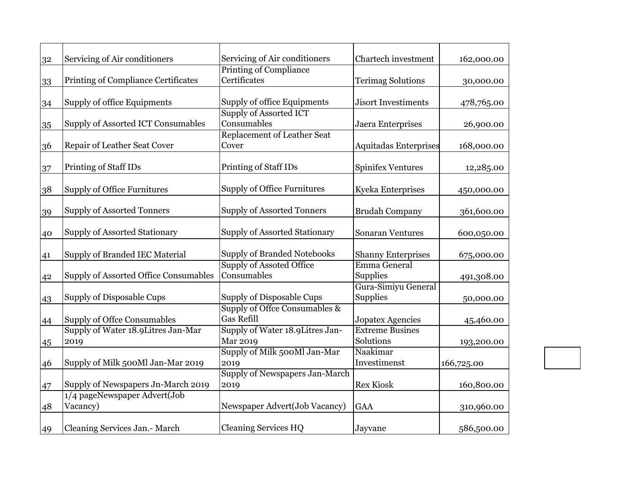| 32 | Servicing of Air conditioners                | Servicing of Air conditioners        | Chartech investment          | 162,000.00 |
|----|----------------------------------------------|--------------------------------------|------------------------------|------------|
|    |                                              | <b>Printing of Compliance</b>        |                              |            |
| 33 | Printing of Compliance Certificates          | Certificates                         | <b>Terimag Solutions</b>     | 30,000.00  |
|    |                                              |                                      |                              |            |
| 34 | Supply of office Equipments                  | Supply of office Equipments          | <b>Jisort Investiments</b>   | 478,765.00 |
|    |                                              | <b>Supply of Assorted ICT</b>        |                              |            |
| 35 | Supply of Assorted ICT Consumables           | Consumables                          | Jaera Enterprises            | 26,900.00  |
|    |                                              | Replacement of Leather Seat          |                              |            |
| 36 | Repair of Leather Seat Cover                 | Cover                                | <b>Aquitadas Enterprises</b> | 168,000.00 |
| 37 | Printing of Staff IDs                        | Printing of Staff IDs                | <b>Spinifex Ventures</b>     | 12,285.00  |
|    |                                              |                                      |                              |            |
| 38 | <b>Supply of Office Furnitures</b>           | <b>Supply of Office Furnitures</b>   | Kyeka Enterprises            | 450,000.00 |
|    |                                              |                                      |                              |            |
| 39 | <b>Supply of Assorted Tonners</b>            | <b>Supply of Assorted Tonners</b>    | <b>Brudah Company</b>        | 361,600.00 |
|    |                                              |                                      |                              |            |
| 40 | Supply of Assorted Stationary                | <b>Supply of Assorted Stationary</b> | <b>Sonaran Ventures</b>      | 600,050.00 |
| 41 | Supply of Branded IEC Material               | <b>Supply of Branded Notebooks</b>   | <b>Shanny Enterprises</b>    | 675,000.00 |
|    |                                              | <b>Supply of Assoted Office</b>      | Emma General                 |            |
| 42 | <b>Supply of Assorted Office Consumables</b> | Consumables                          | Supplies                     | 491,308.00 |
|    |                                              |                                      | Gura-Simiyu General          |            |
| 43 | Supply of Disposable Cups                    | Supply of Disposable Cups            | <b>Supplies</b>              | 50,000.00  |
|    |                                              | Supply of Offce Consumables &        |                              |            |
| 44 | Supply of Offce Consumables                  | <b>Gas Refill</b>                    | Jopatex Agencies             | 45,460.00  |
|    | Supply of Water 18.9 Litres Jan-Mar          | Supply of Water 18.9 Litres Jan-     | <b>Extreme Busines</b>       |            |
| 45 | 2019                                         | Mar 2019                             | Solutions                    | 193,200.00 |
|    |                                              | Supply of Milk 500Ml Jan-Mar         | Naakimar                     |            |
| 46 | Supply of Milk 500Ml Jan-Mar 2019            | 2019                                 | Investimenst                 | 166,725.00 |
|    |                                              | Supply of Newspapers Jan-March       |                              |            |
| 47 | Supply of Newspapers Jn-March 2019           | 2019                                 | <b>Rex Kiosk</b>             | 160,800.00 |
|    | 1/4 pageNewspaper Advert(Job                 |                                      |                              |            |
| 48 | Vacancy)                                     | Newspaper Advert(Job Vacancy)        | <b>GAA</b>                   | 310,960.00 |
| 49 | Cleaning Services Jan.- March                | <b>Cleaning Services HQ</b>          | Jayvane                      | 586,500.00 |